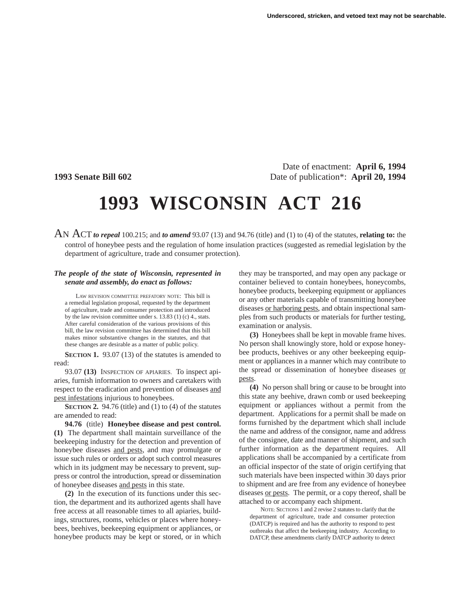Date of enactment: **April 6, 1994 1993 Senate Bill 602** Date of publication<sup>\*</sup>: **April 20, 1994** 

## **1993 WISCONSIN ACT 216**

AN ACT *to repeal* 100.215; and *to amend* 93.07 (13) and 94.76 (title) and (1) to (4) of the statutes, **relating to:** the control of honeybee pests and the regulation of home insulation practices (suggested as remedial legislation by the department of agriculture, trade and consumer protection).

## *The people of the state of Wisconsin, represented in senate and assembly, do enact as follows:*

LAW REVISION COMMITTEE PREFATORY NOTE: This bill is a remedial legislation proposal, requested by the department of agriculture, trade and consumer protection and introduced by the law revision committee under s. 13.83 (1) (c) 4., stats. After careful consideration of the various provisions of this bill, the law revision committee has determined that this bill makes minor substantive changes in the statutes, and that these changes are desirable as a matter of public policy.

**SECTION 1.** 93.07 (13) of the statutes is amended to read:

93.07 **(13)** INSPECTION OF APIARIES. To inspect apiaries, furnish information to owners and caretakers with respect to the eradication and prevention of diseases and pest infestations injurious to honeybees.

**SECTION 2.** 94.76 (title) and (1) to (4) of the statutes are amended to read:

**94.76** (title) **Honeybee disease and pest control. (1)** The department shall maintain surveillance of the beekeeping industry for the detection and prevention of honeybee diseases and pests, and may promulgate or issue such rules or orders or adopt such control measures which in its judgment may be necessary to prevent, suppress or control the introduction, spread or dissemination of honeybee diseases and pests in this state.

**(2)** In the execution of its functions under this section, the department and its authorized agents shall have free access at all reasonable times to all apiaries, buildings, structures, rooms, vehicles or places where honeybees, beehives, beekeeping equipment or appliances, or honeybee products may be kept or stored, or in which they may be transported, and may open any package or container believed to contain honeybees, honeycombs, honeybee products, beekeeping equipment or appliances or any other materials capable of transmitting honeybee diseases or harboring pests, and obtain inspectional samples from such products or materials for further testing, examination or analysis.

**(3)** Honeybees shall be kept in movable frame hives. No person shall knowingly store, hold or expose honeybee products, beehives or any other beekeeping equipment or appliances in a manner which may contribute to the spread or dissemination of honeybee diseases or pests.

**(4)** No person shall bring or cause to be brought into this state any beehive, drawn comb or used beekeeping equipment or appliances without a permit from the department. Applications for a permit shall be made on forms furnished by the department which shall include the name and address of the consignor, name and address of the consignee, date and manner of shipment, and such further information as the department requires. All applications shall be accompanied by a certificate from an official inspector of the state of origin certifying that such materials have been inspected within 30 days prior to shipment and are free from any evidence of honeybee diseases or pests. The permit, or a copy thereof, shall be attached to or accompany each shipment.

NOTE: SECTIONS 1 and 2 revise 2 statutes to clarify that the department of agriculture, trade and consumer protection (DATCP) is required and has the authority to respond to pest outbreaks that affect the beekeeping industry. According to DATCP, these amendments clarify DATCP authority to detect